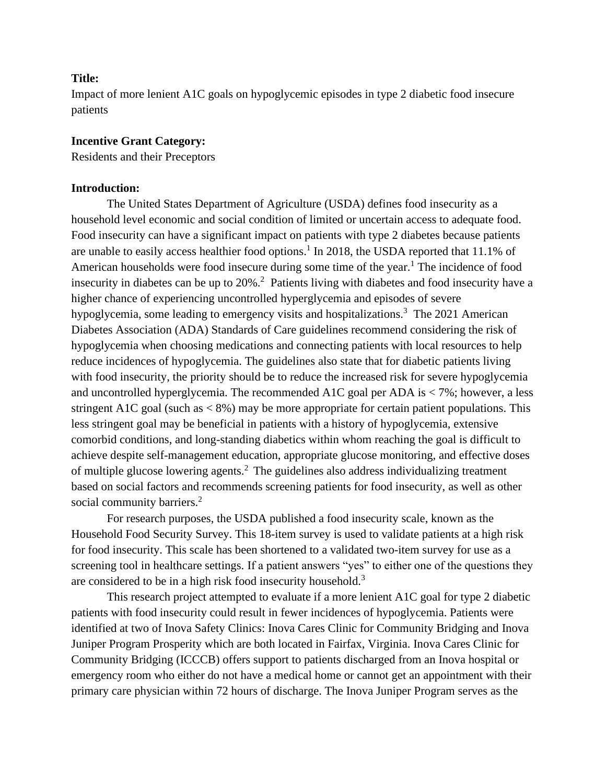## **Title:**

Impact of more lenient A1C goals on hypoglycemic episodes in type 2 diabetic food insecure patients

## **Incentive Grant Category:**

Residents and their Preceptors

## **Introduction:**

The United States Department of Agriculture (USDA) defines food insecurity as a household level economic and social condition of limited or uncertain access to adequate food. Food insecurity can have a significant impact on patients with type 2 diabetes because patients are unable to easily access healthier food options.<sup>1</sup> In 2018, the USDA reported that 11.1% of American households were food insecure during some time of the year.<sup>1</sup> The incidence of food insecurity in diabetes can be up to 20%.<sup>2</sup> Patients living with diabetes and food insecurity have a higher chance of experiencing uncontrolled hyperglycemia and episodes of severe hypoglycemia, some leading to emergency visits and hospitalizations.<sup>3</sup> The 2021 American Diabetes Association (ADA) Standards of Care guidelines recommend considering the risk of hypoglycemia when choosing medications and connecting patients with local resources to help reduce incidences of hypoglycemia. The guidelines also state that for diabetic patients living with food insecurity, the priority should be to reduce the increased risk for severe hypoglycemia and uncontrolled hyperglycemia. The recommended A1C goal per ADA is  $<$  7%; however, a less stringent A1C goal (such as  $\lt 8\%$ ) may be more appropriate for certain patient populations. This less stringent goal may be beneficial in patients with a history of hypoglycemia, extensive comorbid conditions, and long-standing diabetics within whom reaching the goal is difficult to achieve despite self-management education, appropriate glucose monitoring, and effective doses of multiple glucose lowering agents.<sup>2</sup> The guidelines also address individualizing treatment based on social factors and recommends screening patients for food insecurity, as well as other social community barriers.<sup>2</sup>

 For research purposes, the USDA published a food insecurity scale, known as the Household Food Security Survey. This 18-item survey is used to validate patients at a high risk for food insecurity. This scale has been shortened to a validated two-item survey for use as a screening tool in healthcare settings. If a patient answers "yes" to either one of the questions they are considered to be in a high risk food insecurity household.<sup>3</sup>

This research project attempted to evaluate if a more lenient A1C goal for type 2 diabetic patients with food insecurity could result in fewer incidences of hypoglycemia. Patients were identified at two of Inova Safety Clinics: Inova Cares Clinic for Community Bridging and Inova Juniper Program Prosperity which are both located in Fairfax, Virginia. Inova Cares Clinic for Community Bridging (ICCCB) offers support to patients discharged from an Inova hospital or emergency room who either do not have a medical home or cannot get an appointment with their primary care physician within 72 hours of discharge. The Inova Juniper Program serves as the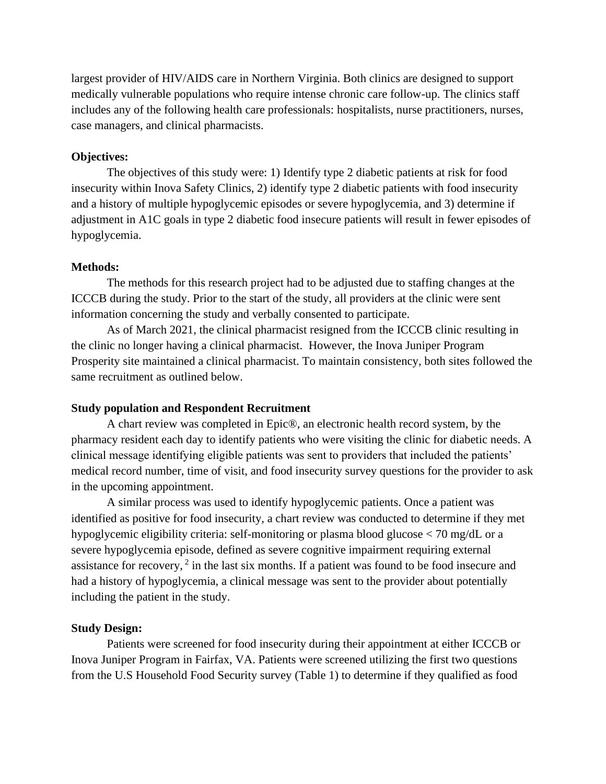largest provider of HIV/AIDS care in Northern Virginia. Both clinics are designed to support medically vulnerable populations who require intense chronic care follow-up. The clinics staff includes any of the following health care professionals: hospitalists, nurse practitioners, nurses, case managers, and clinical pharmacists.

# **Objectives:**

The objectives of this study were: 1) Identify type 2 diabetic patients at risk for food insecurity within Inova Safety Clinics, 2) identify type 2 diabetic patients with food insecurity and a history of multiple hypoglycemic episodes or severe hypoglycemia, and 3) determine if adjustment in A1C goals in type 2 diabetic food insecure patients will result in fewer episodes of hypoglycemia.

#### **Methods:**

The methods for this research project had to be adjusted due to staffing changes at the ICCCB during the study. Prior to the start of the study, all providers at the clinic were sent information concerning the study and verbally consented to participate.

As of March 2021, the clinical pharmacist resigned from the ICCCB clinic resulting in the clinic no longer having a clinical pharmacist. However, the Inova Juniper Program Prosperity site maintained a clinical pharmacist. To maintain consistency, both sites followed the same recruitment as outlined below.

## **Study population and Respondent Recruitment**

A chart review was completed in Epic®, an electronic health record system, by the pharmacy resident each day to identify patients who were visiting the clinic for diabetic needs. A clinical message identifying eligible patients was sent to providers that included the patients' medical record number, time of visit, and food insecurity survey questions for the provider to ask in the upcoming appointment.

A similar process was used to identify hypoglycemic patients. Once a patient was identified as positive for food insecurity, a chart review was conducted to determine if they met hypoglycemic eligibility criteria: self-monitoring or plasma blood glucose < 70 mg/dL or a severe hypoglycemia episode, defined as severe cognitive impairment requiring external assistance for recovery,  $2$  in the last six months. If a patient was found to be food insecure and had a history of hypoglycemia, a clinical message was sent to the provider about potentially including the patient in the study.

## **Study Design:**

Patients were screened for food insecurity during their appointment at either ICCCB or Inova Juniper Program in Fairfax, VA. Patients were screened utilizing the first two questions from the U.S Household Food Security survey (Table 1) to determine if they qualified as food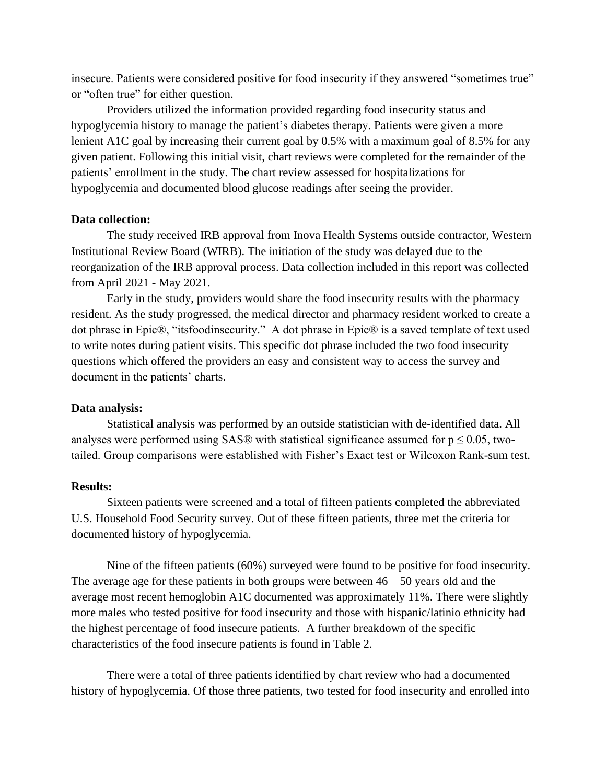insecure. Patients were considered positive for food insecurity if they answered "sometimes true" or "often true" for either question.

Providers utilized the information provided regarding food insecurity status and hypoglycemia history to manage the patient's diabetes therapy. Patients were given a more lenient A1C goal by increasing their current goal by 0.5% with a maximum goal of 8.5% for any given patient. Following this initial visit, chart reviews were completed for the remainder of the patients' enrollment in the study. The chart review assessed for hospitalizations for hypoglycemia and documented blood glucose readings after seeing the provider.

# **Data collection:**

The study received IRB approval from Inova Health Systems outside contractor, Western Institutional Review Board (WIRB). The initiation of the study was delayed due to the reorganization of the IRB approval process. Data collection included in this report was collected from April 2021 - May 2021.

Early in the study, providers would share the food insecurity results with the pharmacy resident. As the study progressed, the medical director and pharmacy resident worked to create a dot phrase in Epic®, "itsfoodinsecurity." A dot phrase in Epic® is a saved template of text used to write notes during patient visits. This specific dot phrase included the two food insecurity questions which offered the providers an easy and consistent way to access the survey and document in the patients' charts.

## **Data analysis:**

Statistical analysis was performed by an outside statistician with de-identified data. All analyses were performed using SAS® with statistical significance assumed for  $p \le 0.05$ , twotailed. Group comparisons were established with Fisher's Exact test or Wilcoxon Rank-sum test.

# **Results:**

Sixteen patients were screened and a total of fifteen patients completed the abbreviated U.S. Household Food Security survey. Out of these fifteen patients, three met the criteria for documented history of hypoglycemia.

Nine of the fifteen patients (60%) surveyed were found to be positive for food insecurity. The average age for these patients in both groups were between  $46 - 50$  years old and the average most recent hemoglobin A1C documented was approximately 11%. There were slightly more males who tested positive for food insecurity and those with hispanic/latinio ethnicity had the highest percentage of food insecure patients. A further breakdown of the specific characteristics of the food insecure patients is found in Table 2.

There were a total of three patients identified by chart review who had a documented history of hypoglycemia. Of those three patients, two tested for food insecurity and enrolled into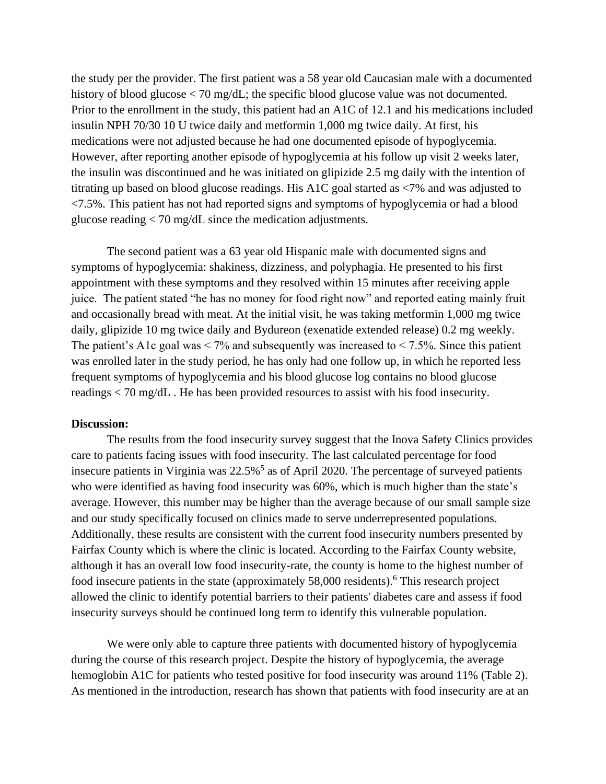the study per the provider. The first patient was a 58 year old Caucasian male with a documented history of blood glucose < 70 mg/dL; the specific blood glucose value was not documented. Prior to the enrollment in the study, this patient had an A1C of 12.1 and his medications included insulin NPH 70/30 10 U twice daily and metformin 1,000 mg twice daily. At first, his medications were not adjusted because he had one documented episode of hypoglycemia. However, after reporting another episode of hypoglycemia at his follow up visit 2 weeks later, the insulin was discontinued and he was initiated on glipizide 2.5 mg daily with the intention of titrating up based on blood glucose readings. His A1C goal started as <7% and was adjusted to <7.5%. This patient has not had reported signs and symptoms of hypoglycemia or had a blood glucose reading < 70 mg/dL since the medication adjustments.

The second patient was a 63 year old Hispanic male with documented signs and symptoms of hypoglycemia: shakiness, dizziness, and polyphagia. He presented to his first appointment with these symptoms and they resolved within 15 minutes after receiving apple juice. The patient stated "he has no money for food right now" and reported eating mainly fruit and occasionally bread with meat. At the initial visit, he was taking metformin 1,000 mg twice daily, glipizide 10 mg twice daily and Bydureon (exenatide extended release) 0.2 mg weekly. The patient's A1c goal was  $\lt 7\%$  and subsequently was increased to  $\lt 7.5\%$ . Since this patient was enrolled later in the study period, he has only had one follow up, in which he reported less frequent symptoms of hypoglycemia and his blood glucose log contains no blood glucose readings < 70 mg/dL . He has been provided resources to assist with his food insecurity.

#### **Discussion:**

The results from the food insecurity survey suggest that the Inova Safety Clinics provides care to patients facing issues with food insecurity. The last calculated percentage for food insecure patients in Virginia was  $22.5\%$ <sup>5</sup> as of April 2020. The percentage of surveyed patients who were identified as having food insecurity was 60%, which is much higher than the state's average. However, this number may be higher than the average because of our small sample size and our study specifically focused on clinics made to serve underrepresented populations. Additionally, these results are consistent with the current food insecurity numbers presented by Fairfax County which is where the clinic is located. According to the Fairfax County website, although it has an overall low food insecurity-rate, the county is home to the highest number of food insecure patients in the state (approximately 58,000 residents).<sup>6</sup> This research project allowed the clinic to identify potential barriers to their patients' diabetes care and assess if food insecurity surveys should be continued long term to identify this vulnerable population.

We were only able to capture three patients with documented history of hypoglycemia during the course of this research project. Despite the history of hypoglycemia, the average hemoglobin A1C for patients who tested positive for food insecurity was around 11% (Table 2). As mentioned in the introduction, research has shown that patients with food insecurity are at an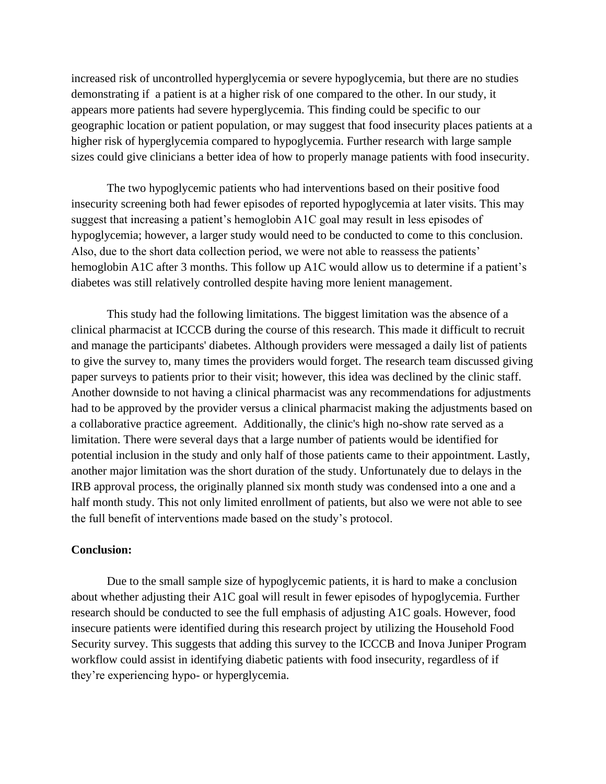increased risk of uncontrolled hyperglycemia or severe hypoglycemia, but there are no studies demonstrating if a patient is at a higher risk of one compared to the other. In our study, it appears more patients had severe hyperglycemia. This finding could be specific to our geographic location or patient population, or may suggest that food insecurity places patients at a higher risk of hyperglycemia compared to hypoglycemia. Further research with large sample sizes could give clinicians a better idea of how to properly manage patients with food insecurity.

The two hypoglycemic patients who had interventions based on their positive food insecurity screening both had fewer episodes of reported hypoglycemia at later visits. This may suggest that increasing a patient's hemoglobin A1C goal may result in less episodes of hypoglycemia; however, a larger study would need to be conducted to come to this conclusion. Also, due to the short data collection period, we were not able to reassess the patients' hemoglobin A1C after 3 months. This follow up A1C would allow us to determine if a patient's diabetes was still relatively controlled despite having more lenient management.

This study had the following limitations. The biggest limitation was the absence of a clinical pharmacist at ICCCB during the course of this research. This made it difficult to recruit and manage the participants' diabetes. Although providers were messaged a daily list of patients to give the survey to, many times the providers would forget. The research team discussed giving paper surveys to patients prior to their visit; however, this idea was declined by the clinic staff. Another downside to not having a clinical pharmacist was any recommendations for adjustments had to be approved by the provider versus a clinical pharmacist making the adjustments based on a collaborative practice agreement. Additionally, the clinic's high no-show rate served as a limitation. There were several days that a large number of patients would be identified for potential inclusion in the study and only half of those patients came to their appointment. Lastly, another major limitation was the short duration of the study. Unfortunately due to delays in the IRB approval process, the originally planned six month study was condensed into a one and a half month study. This not only limited enrollment of patients, but also we were not able to see the full benefit of interventions made based on the study's protocol.

# **Conclusion:**

Due to the small sample size of hypoglycemic patients, it is hard to make a conclusion about whether adjusting their A1C goal will result in fewer episodes of hypoglycemia. Further research should be conducted to see the full emphasis of adjusting A1C goals. However, food insecure patients were identified during this research project by utilizing the Household Food Security survey. This suggests that adding this survey to the ICCCB and Inova Juniper Program workflow could assist in identifying diabetic patients with food insecurity, regardless of if they're experiencing hypo- or hyperglycemia.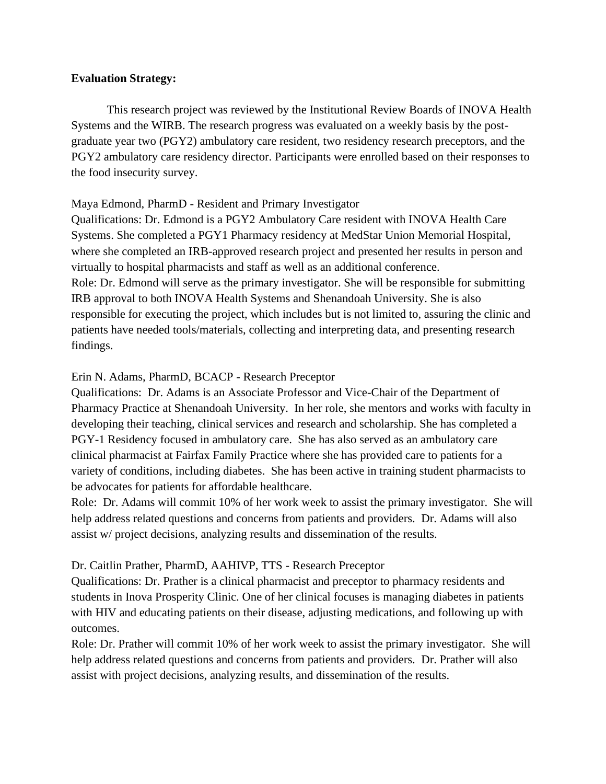# **Evaluation Strategy:**

This research project was reviewed by the Institutional Review Boards of INOVA Health Systems and the WIRB. The research progress was evaluated on a weekly basis by the postgraduate year two (PGY2) ambulatory care resident, two residency research preceptors, and the PGY2 ambulatory care residency director. Participants were enrolled based on their responses to the food insecurity survey.

# Maya Edmond, PharmD - Resident and Primary Investigator

Qualifications: Dr. Edmond is a PGY2 Ambulatory Care resident with INOVA Health Care Systems. She completed a PGY1 Pharmacy residency at MedStar Union Memorial Hospital, where she completed an IRB-approved research project and presented her results in person and virtually to hospital pharmacists and staff as well as an additional conference. Role: Dr. Edmond will serve as the primary investigator. She will be responsible for submitting IRB approval to both INOVA Health Systems and Shenandoah University. She is also responsible for executing the project, which includes but is not limited to, assuring the clinic and patients have needed tools/materials, collecting and interpreting data, and presenting research findings.

# Erin N. Adams, PharmD, BCACP - Research Preceptor

Qualifications: Dr. Adams is an Associate Professor and Vice-Chair of the Department of Pharmacy Practice at Shenandoah University. In her role, she mentors and works with faculty in developing their teaching, clinical services and research and scholarship. She has completed a PGY-1 Residency focused in ambulatory care. She has also served as an ambulatory care clinical pharmacist at Fairfax Family Practice where she has provided care to patients for a variety of conditions, including diabetes. She has been active in training student pharmacists to be advocates for patients for affordable healthcare.

Role: Dr. Adams will commit 10% of her work week to assist the primary investigator. She will help address related questions and concerns from patients and providers. Dr. Adams will also assist w/ project decisions, analyzing results and dissemination of the results.

# Dr. Caitlin Prather, PharmD, AAHIVP, TTS - Research Preceptor

Qualifications: Dr. Prather is a clinical pharmacist and preceptor to pharmacy residents and students in Inova Prosperity Clinic. One of her clinical focuses is managing diabetes in patients with HIV and educating patients on their disease, adjusting medications, and following up with outcomes.

Role: Dr. Prather will commit 10% of her work week to assist the primary investigator. She will help address related questions and concerns from patients and providers. Dr. Prather will also assist with project decisions, analyzing results, and dissemination of the results.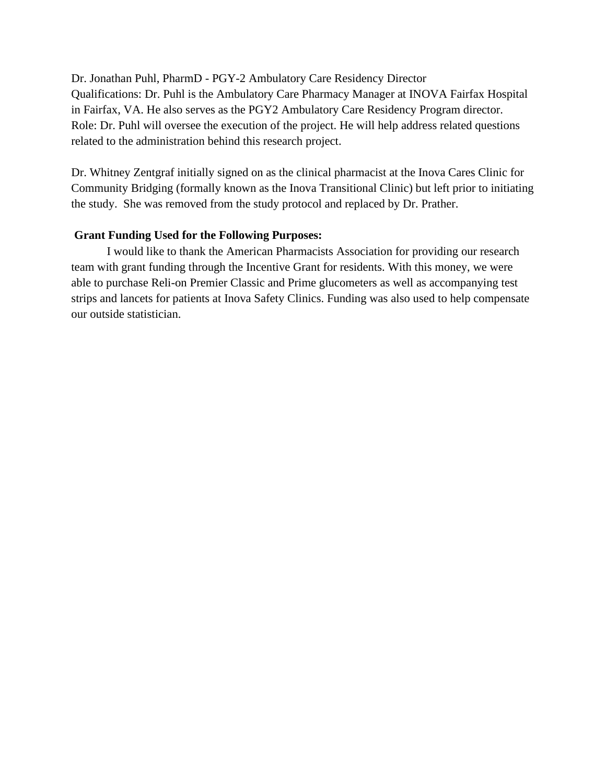Dr. Jonathan Puhl, PharmD - PGY-2 Ambulatory Care Residency Director Qualifications: Dr. Puhl is the Ambulatory Care Pharmacy Manager at INOVA Fairfax Hospital in Fairfax, VA. He also serves as the PGY2 Ambulatory Care Residency Program director. Role: Dr. Puhl will oversee the execution of the project. He will help address related questions related to the administration behind this research project.

Dr. Whitney Zentgraf initially signed on as the clinical pharmacist at the Inova Cares Clinic for Community Bridging (formally known as the Inova Transitional Clinic) but left prior to initiating the study. She was removed from the study protocol and replaced by Dr. Prather.

# **Grant Funding Used for the Following Purposes:**

I would like to thank the American Pharmacists Association for providing our research team with grant funding through the Incentive Grant for residents. With this money, we were able to purchase Reli-on Premier Classic and Prime glucometers as well as accompanying test strips and lancets for patients at Inova Safety Clinics. Funding was also used to help compensate our outside statistician.